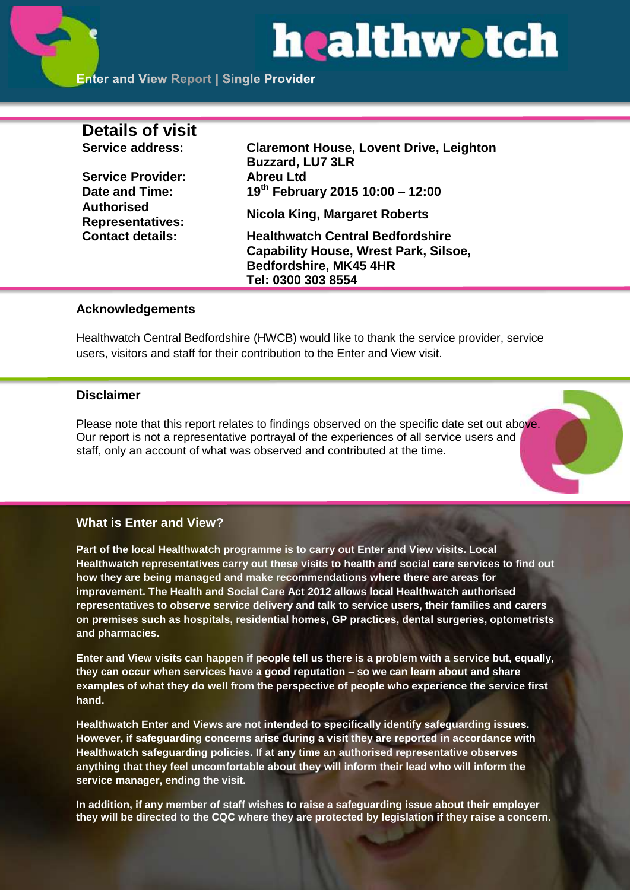# healthwatch

| <b>Details of visit</b>                      |                                                                           |
|----------------------------------------------|---------------------------------------------------------------------------|
| Service address:                             | <b>Claremont House, Lovent Drive, Leighton</b><br><b>Buzzard, LU7 3LR</b> |
| <b>Service Provider:</b>                     | <b>Abreu Ltd</b>                                                          |
| Date and Time:                               | 19th February 2015 10:00 - 12:00                                          |
| <b>Authorised</b><br><b>Representatives:</b> | Nicola King, Margaret Roberts                                             |
| <b>Contact details:</b>                      | <b>Healthwatch Central Bedfordshire</b>                                   |
|                                              | <b>Capability House, Wrest Park, Silsoe,</b>                              |
|                                              | Bedfordshire, MK45 4HR                                                    |
|                                              | Tel: 0300 303 8554                                                        |

# **Acknowledgements**

Healthwatch Central Bedfordshire (HWCB) would like to thank the service provider, service users, visitors and staff for their contribution to the Enter and View visit.

# **Disclaimer**

Please note that this report relates to findings observed on the specific date set out above. Our report is not a representative portrayal of the experiences of all service users and staff, only an account of what was observed and contributed at the time.

# **What is Enter and View?**

**Part of the local Healthwatch programme is to carry out Enter and View visits. Local Healthwatch representatives carry out these visits to health and social care services to find out how they are being managed and make recommendations where there are areas for improvement. The Health and Social Care Act 2012 allows local Healthwatch authorised representatives to observe service delivery and talk to service users, their families and carers on premises such as hospitals, residential homes, GP practices, dental surgeries, optometrists and pharmacies.** 

**Enter and View visits can happen if people tell us there is a problem with a service but, equally, they can occur when services have a good reputation – so we can learn about and share examples of what they do well from the perspective of people who experience the service first hand.**

**Healthwatch Enter and Views are not intended to specifically identify safeguarding issues. However, if safeguarding concerns arise during a visit they are reported in accordance with Healthwatch safeguarding policies. If at any time an authorised representative observes anything that they feel uncomfortable about they will inform their lead who will inform the service manager, ending the visit.** 

**In addition, if any member of staff wishes to raise a safeguarding issue about their employer they will be directed to the CQC where they are protected by legislation if they raise a concern.**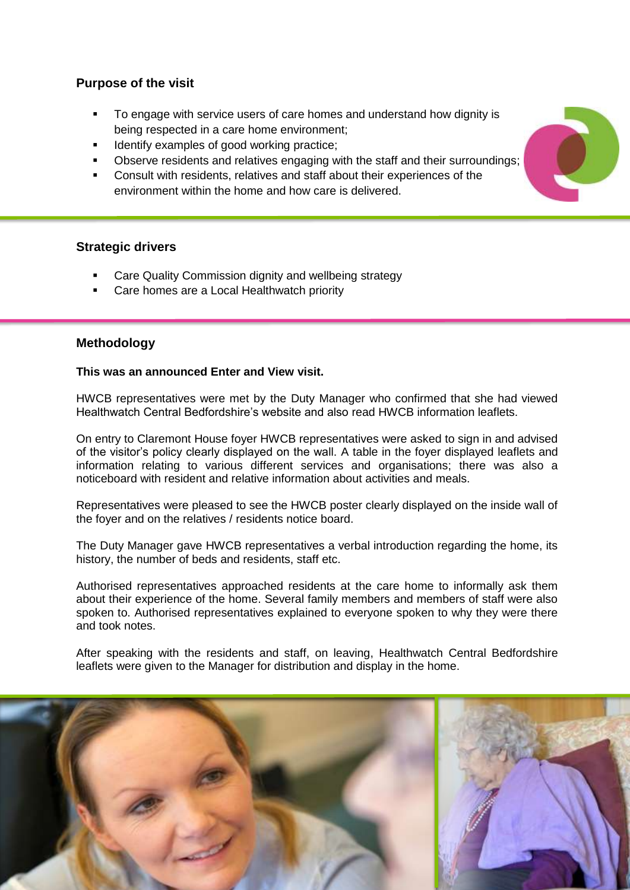# **Purpose of the visit**

- To engage with service users of care homes and understand how dignity is being respected in a care home environment;
- Identify examples of good working practice;
- Observe residents and relatives engaging with the staff and their surroundings;
- Consult with residents, relatives and staff about their experiences of the environment within the home and how care is delivered.

# **Strategic drivers**

- Care Quality Commission dignity and wellbeing strategy
- Care homes are a Local Healthwatch priority

# **Methodology**

#### **This was an announced Enter and View visit.**

HWCB representatives were met by the Duty Manager who confirmed that she had viewed Healthwatch Central Bedfordshire's website and also read HWCB information leaflets.

On entry to Claremont House foyer HWCB representatives were asked to sign in and advised of the visitor's policy clearly displayed on the wall. A table in the foyer displayed leaflets and information relating to various different services and organisations; there was also a noticeboard with resident and relative information about activities and meals.

Representatives were pleased to see the HWCB poster clearly displayed on the inside wall of the foyer and on the relatives / residents notice board.

The Duty Manager gave HWCB representatives a verbal introduction regarding the home, its history, the number of beds and residents, staff etc.

Authorised representatives approached residents at the care home to informally ask them about their experience of the home. Several family members and members of staff were also spoken to. Authorised representatives explained to everyone spoken to why they were there and took notes.

After speaking with the residents and staff, on leaving, Healthwatch Central Bedfordshire leaflets were given to the Manager for distribution and display in the home.



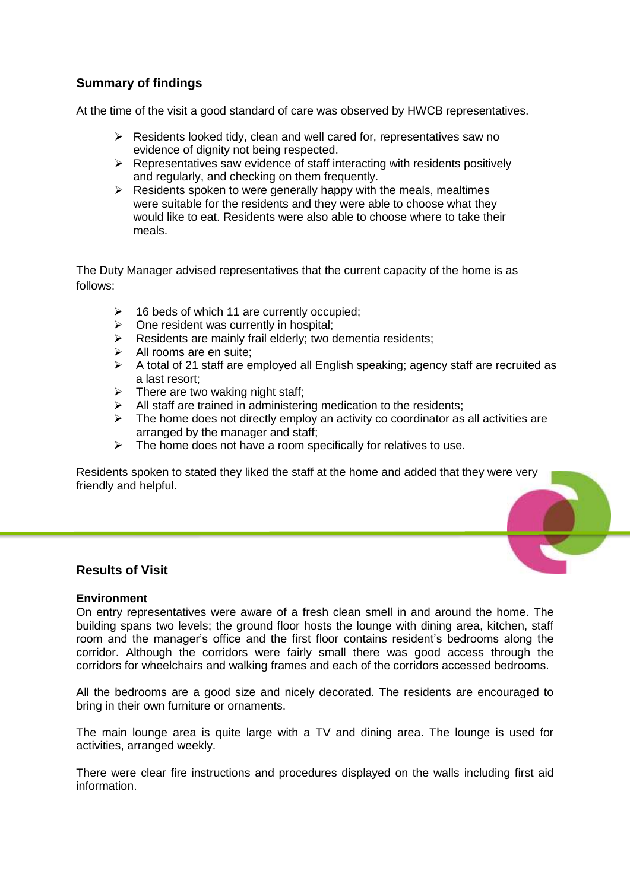# **Summary of findings**

At the time of the visit a good standard of care was observed by HWCB representatives.

- $\triangleright$  Residents looked tidy, clean and well cared for, representatives saw no evidence of dignity not being respected.
- $\triangleright$  Representatives saw evidence of staff interacting with residents positively and regularly, and checking on them frequently.
- $\triangleright$  Residents spoken to were generally happy with the meals, mealtimes were suitable for the residents and they were able to choose what they would like to eat. Residents were also able to choose where to take their meals.

The Duty Manager advised representatives that the current capacity of the home is as follows:

- 16 beds of which 11 are currently occupied;
- $\triangleright$  One resident was currently in hospital;
- $\triangleright$  Residents are mainly frail elderly; two dementia residents;
- $\triangleright$  All rooms are en suite;
- $\triangleright$  A total of 21 staff are employed all English speaking; agency staff are recruited as a last resort;
- $\triangleright$  There are two waking night staff;
- $\triangleright$  All staff are trained in administering medication to the residents;
- $\triangleright$  The home does not directly employ an activity co coordinator as all activities are arranged by the manager and staff;
- $\triangleright$  The home does not have a room specifically for relatives to use.

Residents spoken to stated they liked the staff at the home and added that they were very friendly and helpful.

# **Results of Visit**

#### **Environment**

On entry representatives were aware of a fresh clean smell in and around the home. The building spans two levels; the ground floor hosts the lounge with dining area, kitchen, staff room and the manager's office and the first floor contains resident's bedrooms along the corridor. Although the corridors were fairly small there was good access through the corridors for wheelchairs and walking frames and each of the corridors accessed bedrooms.

All the bedrooms are a good size and nicely decorated. The residents are encouraged to bring in their own furniture or ornaments.

The main lounge area is quite large with a TV and dining area. The lounge is used for activities, arranged weekly.

There were clear fire instructions and procedures displayed on the walls including first aid information.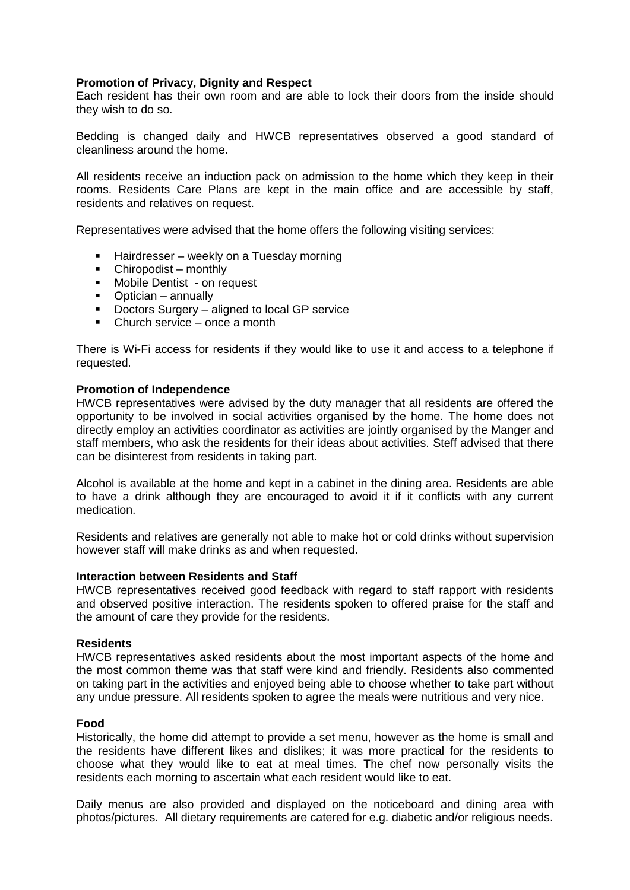#### **Promotion of Privacy, Dignity and Respect**

Each resident has their own room and are able to lock their doors from the inside should they wish to do so.

Bedding is changed daily and HWCB representatives observed a good standard of cleanliness around the home.

All residents receive an induction pack on admission to the home which they keep in their rooms. Residents Care Plans are kept in the main office and are accessible by staff, residents and relatives on request.

Representatives were advised that the home offers the following visiting services:

- Hairdresser weekly on a Tuesday morning
- Chiropodist monthly
- **Mobile Dentist on request**
- Optician annually
- **•** Doctors Surgery aligned to local GP service
- $\blacksquare$  Church service once a month

There is Wi-Fi access for residents if they would like to use it and access to a telephone if requested.

#### **Promotion of Independence**

HWCB representatives were advised by the duty manager that all residents are offered the opportunity to be involved in social activities organised by the home. The home does not directly employ an activities coordinator as activities are jointly organised by the Manger and staff members, who ask the residents for their ideas about activities. Steff advised that there can be disinterest from residents in taking part.

Alcohol is available at the home and kept in a cabinet in the dining area. Residents are able to have a drink although they are encouraged to avoid it if it conflicts with any current medication.

Residents and relatives are generally not able to make hot or cold drinks without supervision however staff will make drinks as and when requested.

#### **Interaction between Residents and Staff**

HWCB representatives received good feedback with regard to staff rapport with residents and observed positive interaction. The residents spoken to offered praise for the staff and the amount of care they provide for the residents.

#### **Residents**

HWCB representatives asked residents about the most important aspects of the home and the most common theme was that staff were kind and friendly. Residents also commented on taking part in the activities and enjoyed being able to choose whether to take part without any undue pressure. All residents spoken to agree the meals were nutritious and very nice.

#### **Food**

Historically, the home did attempt to provide a set menu, however as the home is small and the residents have different likes and dislikes; it was more practical for the residents to choose what they would like to eat at meal times. The chef now personally visits the residents each morning to ascertain what each resident would like to eat.

Daily menus are also provided and displayed on the noticeboard and dining area with photos/pictures. All dietary requirements are catered for e.g. diabetic and/or religious needs.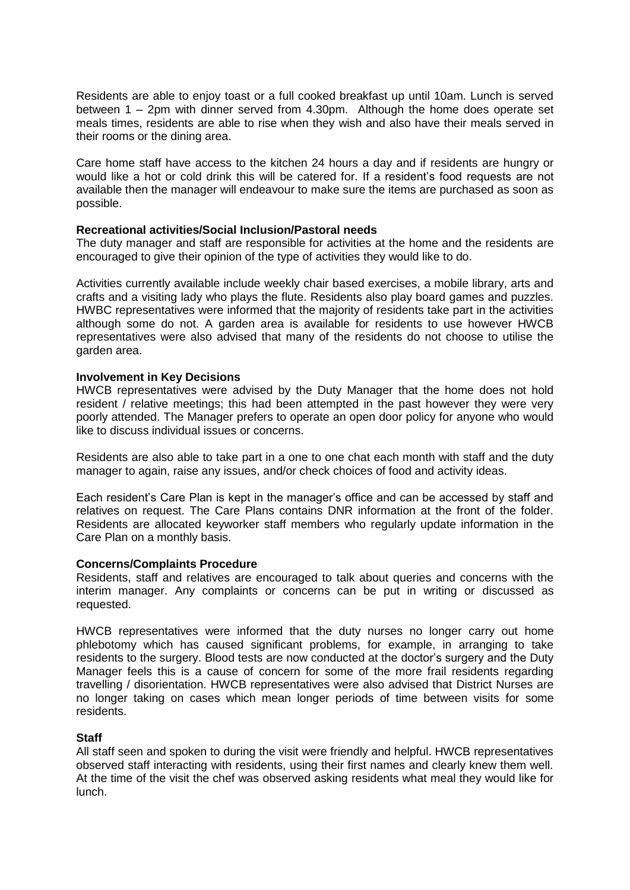Residents are able to enjoy toast or a full cooked breakfast up until 10am. Lunch is served between 1 – 2pm with dinner served from 4.30pm. Although the home does operate set meals times, residents are able to rise when they wish and also have their meals served in their rooms or the dining area.

Care home staff have access to the kitchen 24 hours a day and if residents are hungry or would like a hot or cold drink this will be catered for. If a resident's food requests are not available then the manager will endeavour to make sure the items are purchased as soon as possible.

#### **Recreational activities/Social Inclusion/Pastoral needs**

The duty manager and staff are responsible for activities at the home and the residents are encouraged to give their opinion of the type of activities they would like to do.

Activities currently available include weekly chair based exercises, a mobile library, arts and crafts and a visiting lady who plays the flute. Residents also play board games and puzzles. HWBC representatives were informed that the majority of residents take part in the activities although some do not. A garden area is available for residents to use however HWCB representatives were also advised that many of the residents do not choose to utilise the garden area.

#### **Involvement in Key Decisions**

HWCB representatives were advised by the Duty Manager that the home does not hold resident / relative meetings; this had been attempted in the past however they were very poorly attended. The Manager prefers to operate an open door policy for anyone who would like to discuss individual issues or concerns.

Residents are also able to take part in a one to one chat each month with staff and the duty manager to again, raise any issues, and/or check choices of food and activity ideas.

Each resident's Care Plan is kept in the manager's office and can be accessed by staff and relatives on request. The Care Plans contains DNR information at the front of the folder. Residents are allocated keyworker staff members who regularly update information in the Care Plan on a monthly basis.

#### **Concerns/Complaints Procedure**

Residents, staff and relatives are encouraged to talk about queries and concerns with the interim manager. Any complaints or concerns can be put in writing or discussed as requested.

HWCB representatives were informed that the duty nurses no longer carry out home phlebotomy which has caused significant problems, for example, in arranging to take residents to the surgery. Blood tests are now conducted at the doctor's surgery and the Duty Manager feels this is a cause of concern for some of the more frail residents regarding travelling / disorientation. HWCB representatives were also advised that District Nurses are no longer taking on cases which mean longer periods of time between visits for some residents.

# **Staff**

All staff seen and spoken to during the visit were friendly and helpful. HWCB representatives observed staff interacting with residents, using their first names and clearly knew them well. At the time of the visit the chef was observed asking residents what meal they would like for lunch.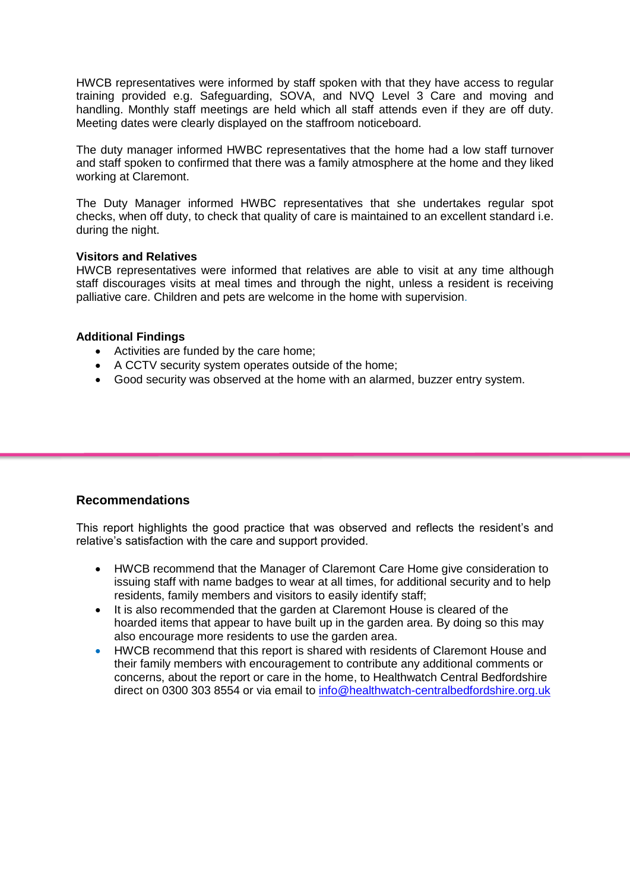HWCB representatives were informed by staff spoken with that they have access to regular training provided e.g. Safeguarding, SOVA, and NVQ Level 3 Care and moving and handling. Monthly staff meetings are held which all staff attends even if they are off duty. Meeting dates were clearly displayed on the staffroom noticeboard.

The duty manager informed HWBC representatives that the home had a low staff turnover and staff spoken to confirmed that there was a family atmosphere at the home and they liked working at Claremont.

The Duty Manager informed HWBC representatives that she undertakes regular spot checks, when off duty, to check that quality of care is maintained to an excellent standard i.e. during the night.

#### **Visitors and Relatives**

HWCB representatives were informed that relatives are able to visit at any time although staff discourages visits at meal times and through the night, unless a resident is receiving palliative care. Children and pets are welcome in the home with supervision.

#### **Additional Findings**

- Activities are funded by the care home;
- A CCTV security system operates outside of the home;
- Good security was observed at the home with an alarmed, buzzer entry system.

# **Recommendations**

This report highlights the good practice that was observed and reflects the resident's and relative's satisfaction with the care and support provided.

- HWCB recommend that the Manager of Claremont Care Home give consideration to issuing staff with name badges to wear at all times, for additional security and to help residents, family members and visitors to easily identify staff;
- It is also recommended that the garden at Claremont House is cleared of the hoarded items that appear to have built up in the garden area. By doing so this may also encourage more residents to use the garden area.
- HWCB recommend that this report is shared with residents of Claremont House and their family members with encouragement to contribute any additional comments or concerns, about the report or care in the home, to Healthwatch Central Bedfordshire direct on 0300 303 8554 or via email to [info@healthwatch-centralbedfordshire.org.uk](mailto:info@healthwatch-centralbedfordshire.org.uk)